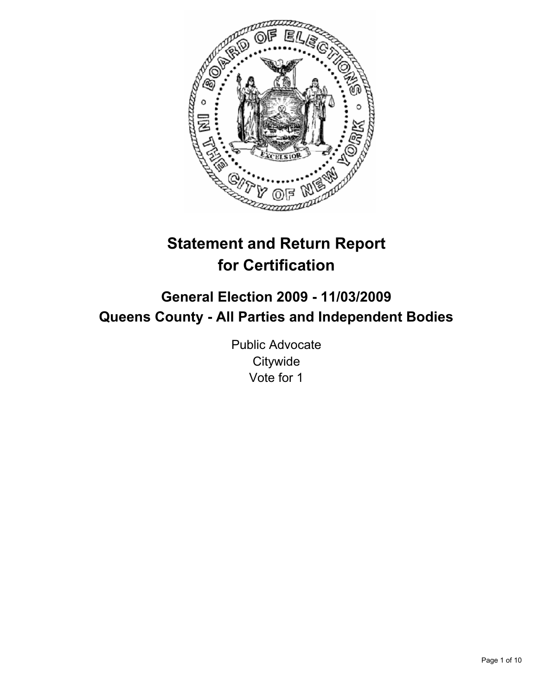

# **Statement and Return Report for Certification**

## **General Election 2009 - 11/03/2009 Queens County - All Parties and Independent Bodies**

Public Advocate **Citywide** Vote for 1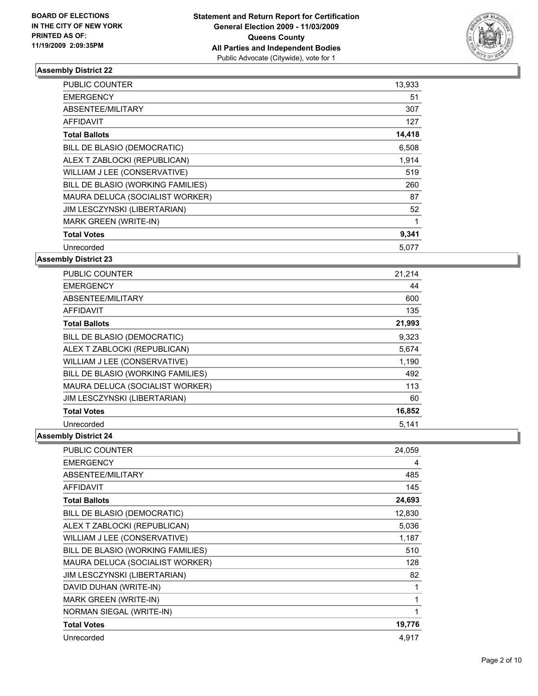

| <b>PUBLIC COUNTER</b>             | 13,933 |
|-----------------------------------|--------|
| <b>EMERGENCY</b>                  | 51     |
| ABSENTEE/MILITARY                 | 307    |
| <b>AFFIDAVIT</b>                  | 127    |
| <b>Total Ballots</b>              | 14,418 |
| BILL DE BLASIO (DEMOCRATIC)       | 6,508  |
| ALEX T ZABLOCKI (REPUBLICAN)      | 1,914  |
| WILLIAM J LEE (CONSERVATIVE)      | 519    |
| BILL DE BLASIO (WORKING FAMILIES) | 260    |
| MAURA DELUCA (SOCIALIST WORKER)   | 87     |
| JIM LESCZYNSKI (LIBERTARIAN)      | 52     |
| MARK GREEN (WRITE-IN)             | 1      |
| <b>Total Votes</b>                | 9,341  |
| Unrecorded                        | 5,077  |

**Assembly District 23**

| <b>PUBLIC COUNTER</b>             | 21,214 |
|-----------------------------------|--------|
| <b>EMERGENCY</b>                  | 44     |
| ABSENTEE/MILITARY                 | 600    |
| <b>AFFIDAVIT</b>                  | 135    |
| <b>Total Ballots</b>              | 21,993 |
| BILL DE BLASIO (DEMOCRATIC)       | 9,323  |
| ALEX T ZABLOCKI (REPUBLICAN)      | 5,674  |
| WILLIAM J LEE (CONSERVATIVE)      | 1,190  |
| BILL DE BLASIO (WORKING FAMILIES) | 492    |
| MAURA DELUCA (SOCIALIST WORKER)   | 113    |
| JIM LESCZYNSKI (LIBERTARIAN)      | 60     |
| <b>Total Votes</b>                | 16,852 |
| Unrecorded                        | 5,141  |

| <b>PUBLIC COUNTER</b>             | 24,059 |
|-----------------------------------|--------|
| <b>EMERGENCY</b>                  | 4      |
| ABSENTEE/MILITARY                 | 485    |
| <b>AFFIDAVIT</b>                  | 145    |
| <b>Total Ballots</b>              | 24,693 |
| BILL DE BLASIO (DEMOCRATIC)       | 12,830 |
| ALEX T ZABLOCKI (REPUBLICAN)      | 5,036  |
| WILLIAM J LEE (CONSERVATIVE)      | 1,187  |
| BILL DE BLASIO (WORKING FAMILIES) | 510    |
| MAURA DELUCA (SOCIALIST WORKER)   | 128    |
| JIM LESCZYNSKI (LIBERTARIAN)      | 82     |
| DAVID DUHAN (WRITE-IN)            | 1      |
| MARK GREEN (WRITE-IN)             | 1      |
| NORMAN SIEGAL (WRITE-IN)          | 1      |
| <b>Total Votes</b>                | 19,776 |
| Unrecorded                        | 4.917  |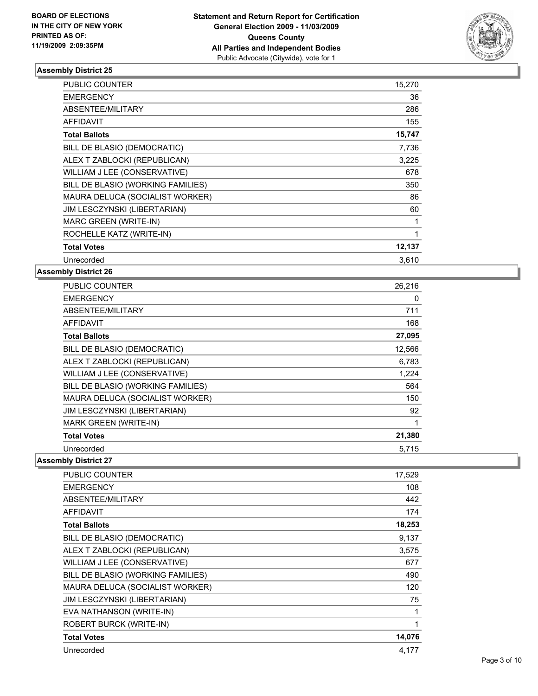

| <b>PUBLIC COUNTER</b>             | 15,270 |
|-----------------------------------|--------|
| <b>EMERGENCY</b>                  | 36     |
| ABSENTEE/MILITARY                 | 286    |
| AFFIDAVIT                         | 155    |
| <b>Total Ballots</b>              | 15,747 |
| BILL DE BLASIO (DEMOCRATIC)       | 7,736  |
| ALEX T ZABLOCKI (REPUBLICAN)      | 3,225  |
| WILLIAM J LEE (CONSERVATIVE)      | 678    |
| BILL DE BLASIO (WORKING FAMILIES) | 350    |
| MAURA DELUCA (SOCIALIST WORKER)   | 86     |
| JIM LESCZYNSKI (LIBERTARIAN)      | 60     |
| MARC GREEN (WRITE-IN)             | 1      |
| ROCHELLE KATZ (WRITE-IN)          | 1      |
| <b>Total Votes</b>                | 12,137 |
| Unrecorded                        | 3,610  |

#### **Assembly District 26**

| <b>PUBLIC COUNTER</b>             | 26,216 |
|-----------------------------------|--------|
| <b>EMERGENCY</b>                  | 0      |
| ABSENTEE/MILITARY                 | 711    |
| <b>AFFIDAVIT</b>                  | 168    |
| <b>Total Ballots</b>              | 27,095 |
| BILL DE BLASIO (DEMOCRATIC)       | 12,566 |
| ALEX T ZABLOCKI (REPUBLICAN)      | 6,783  |
| WILLIAM J LEE (CONSERVATIVE)      | 1,224  |
| BILL DE BLASIO (WORKING FAMILIES) | 564    |
| MAURA DELUCA (SOCIALIST WORKER)   | 150    |
| JIM LESCZYNSKI (LIBERTARIAN)      | 92     |
| <b>MARK GREEN (WRITE-IN)</b>      | 1      |
| <b>Total Votes</b>                | 21,380 |
| Unrecorded                        | 5.715  |

| <b>PUBLIC COUNTER</b>               | 17,529 |
|-------------------------------------|--------|
| <b>EMERGENCY</b>                    | 108    |
| ABSENTEE/MILITARY                   | 442    |
| <b>AFFIDAVIT</b>                    | 174    |
| <b>Total Ballots</b>                | 18,253 |
| BILL DE BLASIO (DEMOCRATIC)         | 9,137  |
| ALEX T ZABLOCKI (REPUBLICAN)        | 3,575  |
| WILLIAM J LEE (CONSERVATIVE)        | 677    |
| BILL DE BLASIO (WORKING FAMILIES)   | 490    |
| MAURA DELUCA (SOCIALIST WORKER)     | 120    |
| <b>JIM LESCZYNSKI (LIBERTARIAN)</b> | 75     |
| EVA NATHANSON (WRITE-IN)            | 1      |
| <b>ROBERT BURCK (WRITE-IN)</b>      | 1      |
| <b>Total Votes</b>                  | 14,076 |
| Unrecorded                          | 4,177  |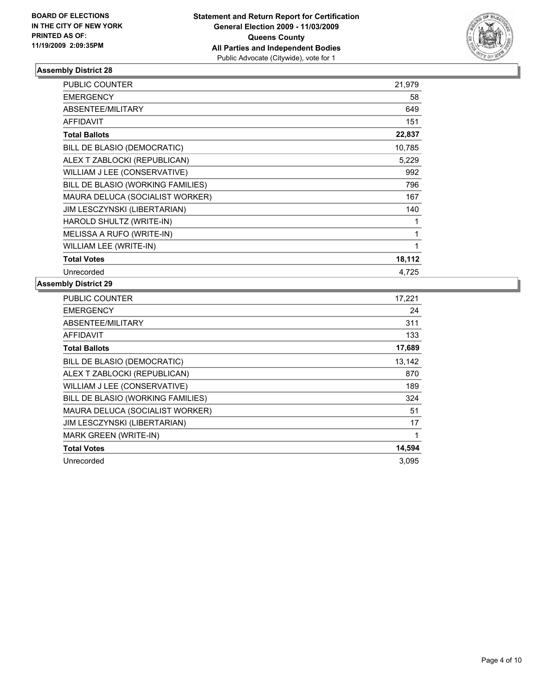

| <b>PUBLIC COUNTER</b>             | 21,979 |
|-----------------------------------|--------|
| <b>EMERGENCY</b>                  | 58     |
| <b>ABSENTEE/MILITARY</b>          | 649    |
| <b>AFFIDAVIT</b>                  | 151    |
| <b>Total Ballots</b>              | 22,837 |
| BILL DE BLASIO (DEMOCRATIC)       | 10,785 |
| ALEX T ZABLOCKI (REPUBLICAN)      | 5,229  |
| WILLIAM J LEE (CONSERVATIVE)      | 992    |
| BILL DE BLASIO (WORKING FAMILIES) | 796    |
| MAURA DELUCA (SOCIALIST WORKER)   | 167    |
| JIM LESCZYNSKI (LIBERTARIAN)      | 140    |
| HAROLD SHULTZ (WRITE-IN)          | 1      |
| MELISSA A RUFO (WRITE-IN)         | 1      |
| WILLIAM LEE (WRITE-IN)            | 1      |
| <b>Total Votes</b>                | 18,112 |
| Unrecorded                        | 4,725  |

| <b>PUBLIC COUNTER</b>             | 17,221 |
|-----------------------------------|--------|
| <b>EMERGENCY</b>                  | 24     |
| ABSENTEE/MILITARY                 | 311    |
| <b>AFFIDAVIT</b>                  | 133    |
| <b>Total Ballots</b>              | 17,689 |
| BILL DE BLASIO (DEMOCRATIC)       | 13,142 |
| ALEX T ZABLOCKI (REPUBLICAN)      | 870    |
| WILLIAM J LEE (CONSERVATIVE)      | 189    |
| BILL DE BLASIO (WORKING FAMILIES) | 324    |
| MAURA DELUCA (SOCIALIST WORKER)   | 51     |
| JIM LESCZYNSKI (LIBERTARIAN)      | 17     |
| MARK GREEN (WRITE-IN)             | 1      |
| <b>Total Votes</b>                | 14,594 |
| Unrecorded                        | 3.095  |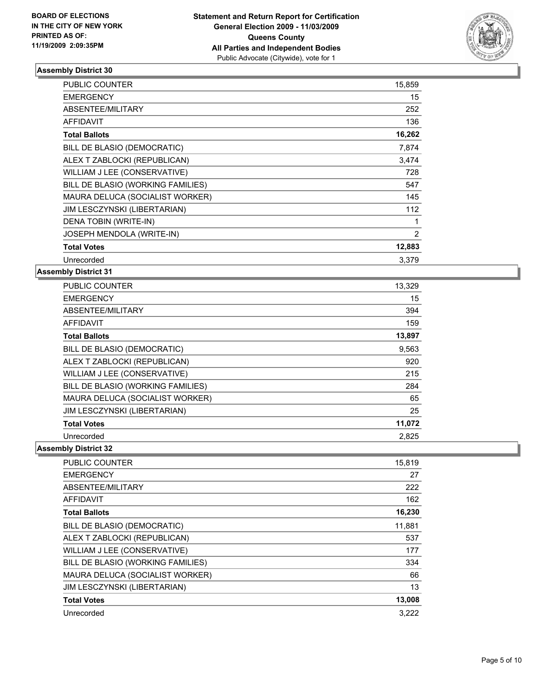

| <b>PUBLIC COUNTER</b>             | 15,859 |
|-----------------------------------|--------|
| <b>EMERGENCY</b>                  | 15     |
| ABSENTEE/MILITARY                 | 252    |
| <b>AFFIDAVIT</b>                  | 136    |
| <b>Total Ballots</b>              | 16,262 |
| BILL DE BLASIO (DEMOCRATIC)       | 7,874  |
| ALEX T ZABLOCKI (REPUBLICAN)      | 3,474  |
| WILLIAM J LEE (CONSERVATIVE)      | 728    |
| BILL DE BLASIO (WORKING FAMILIES) | 547    |
| MAURA DELUCA (SOCIALIST WORKER)   | 145    |
| JIM LESCZYNSKI (LIBERTARIAN)      | 112    |
| DENA TOBIN (WRITE-IN)             | 1      |
| JOSEPH MENDOLA (WRITE-IN)         | 2      |
| <b>Total Votes</b>                | 12,883 |
| Unrecorded                        | 3.379  |

#### **Assembly District 31**

| <b>PUBLIC COUNTER</b>             | 13,329 |
|-----------------------------------|--------|
| <b>EMERGENCY</b>                  | 15     |
| ABSENTEE/MILITARY                 | 394    |
| <b>AFFIDAVIT</b>                  | 159    |
| <b>Total Ballots</b>              | 13,897 |
| BILL DE BLASIO (DEMOCRATIC)       | 9,563  |
| ALEX T ZABLOCKI (REPUBLICAN)      | 920    |
| WILLIAM J LEE (CONSERVATIVE)      | 215    |
| BILL DE BLASIO (WORKING FAMILIES) | 284    |
| MAURA DELUCA (SOCIALIST WORKER)   | 65     |
| JIM LESCZYNSKI (LIBERTARIAN)      | 25     |
| <b>Total Votes</b>                | 11,072 |
| Unrecorded                        | 2,825  |

| <b>PUBLIC COUNTER</b>             | 15,819 |
|-----------------------------------|--------|
| <b>EMERGENCY</b>                  | 27     |
| ABSENTEE/MILITARY                 | 222    |
| <b>AFFIDAVIT</b>                  | 162    |
| <b>Total Ballots</b>              | 16,230 |
| BILL DE BLASIO (DEMOCRATIC)       | 11,881 |
| ALEX T ZABLOCKI (REPUBLICAN)      | 537    |
| WILLIAM J LEE (CONSERVATIVE)      | 177    |
| BILL DE BLASIO (WORKING FAMILIES) | 334    |
| MAURA DELUCA (SOCIALIST WORKER)   | 66     |
| JIM LESCZYNSKI (LIBERTARIAN)      | 13     |
| <b>Total Votes</b>                | 13,008 |
| Unrecorded                        | 3.222  |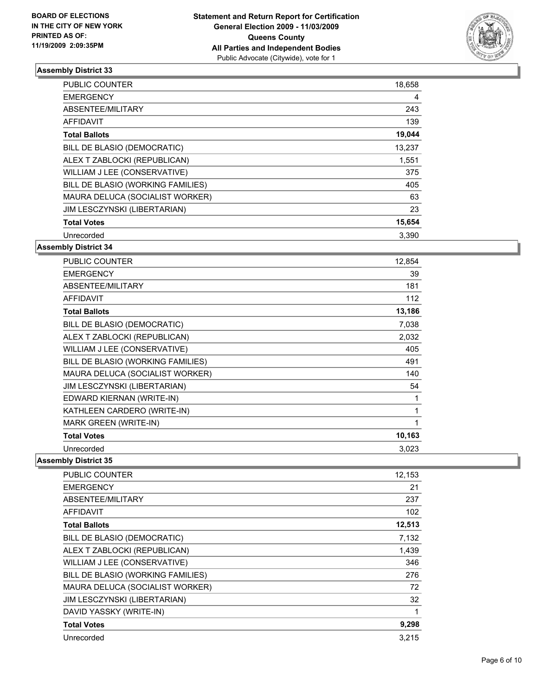

| <b>PUBLIC COUNTER</b>             | 18,658 |
|-----------------------------------|--------|
| <b>EMERGENCY</b>                  | 4      |
| ABSENTEE/MILITARY                 | 243    |
| AFFIDAVIT                         | 139    |
| <b>Total Ballots</b>              | 19,044 |
| BILL DE BLASIO (DEMOCRATIC)       | 13,237 |
| ALEX T ZABLOCKI (REPUBLICAN)      | 1,551  |
| WILLIAM J LEE (CONSERVATIVE)      | 375    |
| BILL DE BLASIO (WORKING FAMILIES) | 405    |
| MAURA DELUCA (SOCIALIST WORKER)   | 63     |
| JIM LESCZYNSKI (LIBERTARIAN)      | 23     |
| <b>Total Votes</b>                | 15,654 |
| Unrecorded                        | 3,390  |

## **Assembly District 34**

| <b>PUBLIC COUNTER</b>             | 12,854 |
|-----------------------------------|--------|
| <b>EMERGENCY</b>                  | 39     |
| ABSENTEE/MILITARY                 | 181    |
| <b>AFFIDAVIT</b>                  | 112    |
| <b>Total Ballots</b>              | 13,186 |
| BILL DE BLASIO (DEMOCRATIC)       | 7,038  |
| ALEX T ZABLOCKI (REPUBLICAN)      | 2,032  |
| WILLIAM J LEE (CONSERVATIVE)      | 405    |
| BILL DE BLASIO (WORKING FAMILIES) | 491    |
| MAURA DELUCA (SOCIALIST WORKER)   | 140    |
| JIM LESCZYNSKI (LIBERTARIAN)      | 54     |
| EDWARD KIERNAN (WRITE-IN)         | 1      |
| KATHLEEN CARDERO (WRITE-IN)       | 1      |
| <b>MARK GREEN (WRITE-IN)</b>      | 1      |
| <b>Total Votes</b>                | 10,163 |
| Unrecorded                        | 3,023  |

| <b>PUBLIC COUNTER</b>             | 12,153 |
|-----------------------------------|--------|
| <b>EMERGENCY</b>                  | 21     |
| ABSENTEE/MILITARY                 | 237    |
| <b>AFFIDAVIT</b>                  | 102    |
| <b>Total Ballots</b>              | 12,513 |
| BILL DE BLASIO (DEMOCRATIC)       | 7,132  |
| ALEX T ZABLOCKI (REPUBLICAN)      | 1,439  |
| WILLIAM J LEE (CONSERVATIVE)      | 346    |
| BILL DE BLASIO (WORKING FAMILIES) | 276    |
| MAURA DELUCA (SOCIALIST WORKER)   | 72     |
| JIM LESCZYNSKI (LIBERTARIAN)      | 32     |
| DAVID YASSKY (WRITE-IN)           | 1      |
| <b>Total Votes</b>                | 9,298  |
| Unrecorded                        | 3,215  |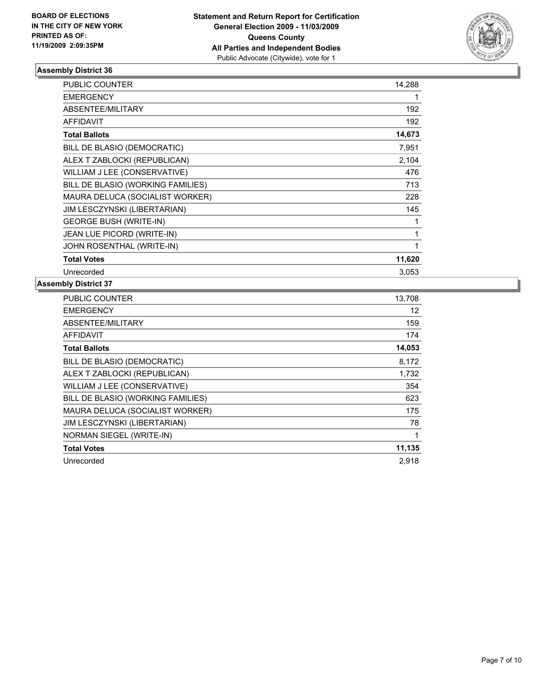

| <b>PUBLIC COUNTER</b>             | 14,288 |
|-----------------------------------|--------|
| <b>EMERGENCY</b>                  | 1      |
| ABSENTEE/MILITARY                 | 192    |
| <b>AFFIDAVIT</b>                  | 192    |
| <b>Total Ballots</b>              | 14,673 |
| BILL DE BLASIO (DEMOCRATIC)       | 7,951  |
| ALEX T ZABLOCKI (REPUBLICAN)      | 2,104  |
| WILLIAM J LEE (CONSERVATIVE)      | 476    |
| BILL DE BLASIO (WORKING FAMILIES) | 713    |
| MAURA DELUCA (SOCIALIST WORKER)   | 228    |
| JIM LESCZYNSKI (LIBERTARIAN)      | 145    |
| <b>GEORGE BUSH (WRITE-IN)</b>     | 1      |
| JEAN LUE PICORD (WRITE-IN)        | 1      |
| JOHN ROSENTHAL (WRITE-IN)         | 1      |
| <b>Total Votes</b>                | 11,620 |
| Unrecorded                        | 3,053  |

| <b>PUBLIC COUNTER</b>             | 13,708 |
|-----------------------------------|--------|
| <b>EMERGENCY</b>                  | 12     |
| ABSENTEE/MILITARY                 | 159    |
| <b>AFFIDAVIT</b>                  | 174    |
| <b>Total Ballots</b>              | 14,053 |
| BILL DE BLASIO (DEMOCRATIC)       | 8,172  |
| ALEX T ZABLOCKI (REPUBLICAN)      | 1,732  |
| WILLIAM J LEE (CONSERVATIVE)      | 354    |
| BILL DE BLASIO (WORKING FAMILIES) | 623    |
| MAURA DELUCA (SOCIALIST WORKER)   | 175    |
| JIM LESCZYNSKI (LIBERTARIAN)      | 78     |
| NORMAN SIEGEL (WRITE-IN)          | 1      |
| <b>Total Votes</b>                | 11,135 |
| Unrecorded                        | 2.918  |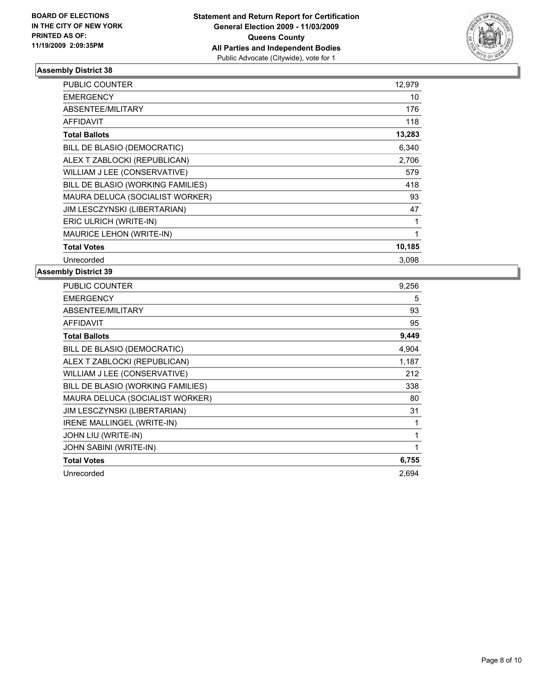

| <b>PUBLIC COUNTER</b>             | 12,979 |
|-----------------------------------|--------|
| <b>EMERGENCY</b>                  | 10     |
| <b>ABSENTEE/MILITARY</b>          | 176    |
| <b>AFFIDAVIT</b>                  | 118    |
| <b>Total Ballots</b>              | 13,283 |
| BILL DE BLASIO (DEMOCRATIC)       | 6,340  |
| ALEX T ZABLOCKI (REPUBLICAN)      | 2,706  |
| WILLIAM J LEE (CONSERVATIVE)      | 579    |
| BILL DE BLASIO (WORKING FAMILIES) | 418    |
| MAURA DELUCA (SOCIALIST WORKER)   | 93     |
| JIM LESCZYNSKI (LIBERTARIAN)      | 47     |
| ERIC ULRICH (WRITE-IN)            | 1      |
| <b>MAURICE LEHON (WRITE-IN)</b>   | 1      |
| <b>Total Votes</b>                | 10,185 |
| Unrecorded                        | 3.098  |

| <b>PUBLIC COUNTER</b>             | 9,256 |
|-----------------------------------|-------|
| <b>EMERGENCY</b>                  | 5     |
| ABSENTEE/MILITARY                 | 93    |
| <b>AFFIDAVIT</b>                  | 95    |
| <b>Total Ballots</b>              | 9,449 |
| BILL DE BLASIO (DEMOCRATIC)       | 4,904 |
| ALEX T ZABLOCKI (REPUBLICAN)      | 1,187 |
| WILLIAM J LEE (CONSERVATIVE)      | 212   |
| BILL DE BLASIO (WORKING FAMILIES) | 338   |
| MAURA DELUCA (SOCIALIST WORKER)   | 80    |
| JIM LESCZYNSKI (LIBERTARIAN)      | 31    |
| <b>IRENE MALLINGEL (WRITE-IN)</b> | 1     |
| JOHN LIU (WRITE-IN)               | 1     |
| JOHN SABINI (WRITE-IN)            | 1     |
| <b>Total Votes</b>                | 6,755 |
| Unrecorded                        | 2,694 |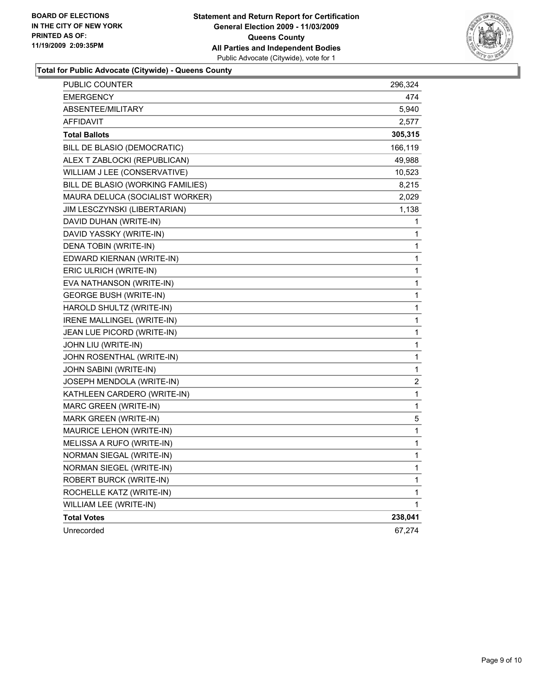

**Total for Public Advocate (Citywide) - Queens County**

| PUBLIC COUNTER                    | 296,324          |
|-----------------------------------|------------------|
| <b>EMERGENCY</b>                  | 474              |
| <b>ABSENTEE/MILITARY</b>          | 5,940            |
| <b>AFFIDAVIT</b>                  | 2,577            |
| <b>Total Ballots</b>              | 305,315          |
| BILL DE BLASIO (DEMOCRATIC)       | 166,119          |
| ALEX T ZABLOCKI (REPUBLICAN)      | 49,988           |
| WILLIAM J LEE (CONSERVATIVE)      | 10,523           |
| BILL DE BLASIO (WORKING FAMILIES) | 8,215            |
| MAURA DELUCA (SOCIALIST WORKER)   | 2,029            |
| JIM LESCZYNSKI (LIBERTARIAN)      | 1,138            |
| DAVID DUHAN (WRITE-IN)            | 1                |
| DAVID YASSKY (WRITE-IN)           | 1                |
| DENA TOBIN (WRITE-IN)             | 1                |
| EDWARD KIERNAN (WRITE-IN)         | 1                |
| ERIC ULRICH (WRITE-IN)            | 1                |
| EVA NATHANSON (WRITE-IN)          | 1                |
| <b>GEORGE BUSH (WRITE-IN)</b>     | 1                |
| HAROLD SHULTZ (WRITE-IN)          | 1                |
| IRENE MALLINGEL (WRITE-IN)        | 1                |
| JEAN LUE PICORD (WRITE-IN)        | 1                |
| JOHN LIU (WRITE-IN)               | 1                |
| JOHN ROSENTHAL (WRITE-IN)         | 1                |
| JOHN SABINI (WRITE-IN)            | 1                |
| JOSEPH MENDOLA (WRITE-IN)         | $\boldsymbol{2}$ |
| KATHLEEN CARDERO (WRITE-IN)       | 1                |
| MARC GREEN (WRITE-IN)             | 1                |
| MARK GREEN (WRITE-IN)             | 5                |
| MAURICE LEHON (WRITE-IN)          | 1                |
| MELISSA A RUFO (WRITE-IN)         | 1                |
| NORMAN SIEGAL (WRITE-IN)          | 1                |
| NORMAN SIEGEL (WRITE-IN)          | 1                |
| ROBERT BURCK (WRITE-IN)           | 1                |
| ROCHELLE KATZ (WRITE-IN)          | 1                |
| WILLIAM LEE (WRITE-IN)            | 1                |
| <b>Total Votes</b>                | 238,041          |
| Unrecorded                        | 67,274           |